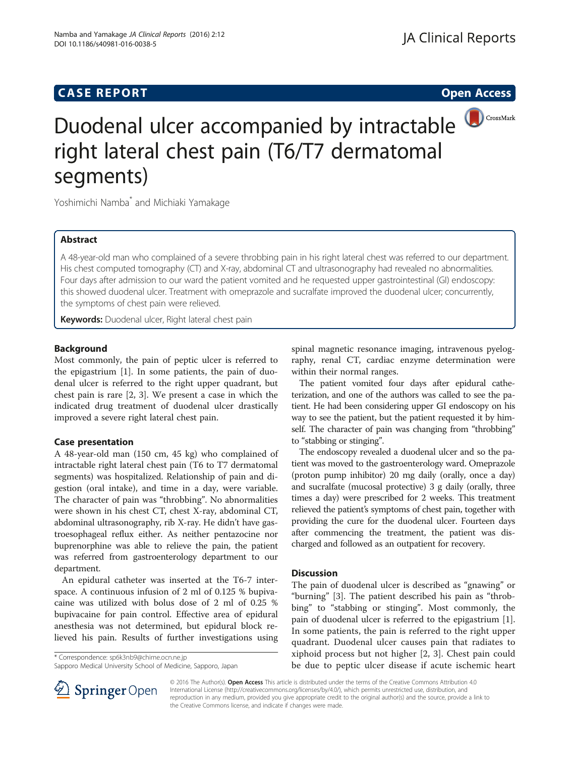# **CASE REPORT CASE REPORT CASE REPORT**



# Duodenal ulcer accompanied by intractable right lateral chest pain (T6/T7 dermatomal segments)

Yoshimichi Namba<sup>\*</sup> and Michiaki Yamakage

## Abstract

A 48-year-old man who complained of a severe throbbing pain in his right lateral chest was referred to our department. His chest computed tomography (CT) and X-ray, abdominal CT and ultrasonography had revealed no abnormalities. Four days after admission to our ward the patient vomited and he requested upper gastrointestinal (GI) endoscopy: this showed duodenal ulcer. Treatment with omeprazole and sucralfate improved the duodenal ulcer; concurrently, the symptoms of chest pain were relieved.

Keywords: Duodenal ulcer, Right lateral chest pain

### Background

Most commonly, the pain of peptic ulcer is referred to the epigastrium [\[1\]](#page-1-0). In some patients, the pain of duodenal ulcer is referred to the right upper quadrant, but chest pain is rare [[2, 3](#page-1-0)]. We present a case in which the indicated drug treatment of duodenal ulcer drastically improved a severe right lateral chest pain.

### Case presentation

A 48-year-old man (150 cm, 45 kg) who complained of intractable right lateral chest pain (T6 to T7 dermatomal segments) was hospitalized. Relationship of pain and digestion (oral intake), and time in a day, were variable. The character of pain was "throbbing". No abnormalities were shown in his chest CT, chest X-ray, abdominal CT, abdominal ultrasonography, rib X-ray. He didn't have gastroesophageal reflux either. As neither pentazocine nor buprenorphine was able to relieve the pain, the patient was referred from gastroenterology department to our department.

An epidural catheter was inserted at the T6-7 interspace. A continuous infusion of 2 ml of 0.125 % bupivacaine was utilized with bolus dose of 2 ml of 0.25 % bupivacaine for pain control. Effective area of epidural anesthesia was not determined, but epidural block relieved his pain. Results of further investigations using

\* Correspondence: [sp6k3nb9@chime.ocn.ne.jp](mailto:sp6k3nb9@chime.ocn.ne.jp)

Sapporo Medical University School of Medicine, Sapporo, Japan

spinal magnetic resonance imaging, intravenous pyelography, renal CT, cardiac enzyme determination were within their normal ranges.

The patient vomited four days after epidural catheterization, and one of the authors was called to see the patient. He had been considering upper GI endoscopy on his way to see the patient, but the patient requested it by himself. The character of pain was changing from "throbbing" to "stabbing or stinging".

The endoscopy revealed a duodenal ulcer and so the patient was moved to the gastroenterology ward. Omeprazole (proton pump inhibitor) 20 mg daily (orally, once a day) and sucralfate (mucosal protective) 3 g daily (orally, three times a day) were prescribed for 2 weeks. This treatment relieved the patient's symptoms of chest pain, together with providing the cure for the duodenal ulcer. Fourteen days after commencing the treatment, the patient was discharged and followed as an outpatient for recovery.

#### **Discussion**

The pain of duodenal ulcer is described as "gnawing" or "burning" [\[3\]](#page-1-0). The patient described his pain as "throbbing" to "stabbing or stinging". Most commonly, the pain of duodenal ulcer is referred to the epigastrium [\[1](#page-1-0)]. In some patients, the pain is referred to the right upper quadrant. Duodenal ulcer causes pain that radiates to xiphoid process but not higher [\[2](#page-1-0), [3\]](#page-1-0). Chest pain could be due to peptic ulcer disease if acute ischemic heart



© 2016 The Author(s). Open Access This article is distributed under the terms of the Creative Commons Attribution 4.0 International License ([http://creativecommons.org/licenses/by/4.0/\)](http://creativecommons.org/licenses/by/4.0/), which permits unrestricted use, distribution, and reproduction in any medium, provided you give appropriate credit to the original author(s) and the source, provide a link to the Creative Commons license, and indicate if changes were made.